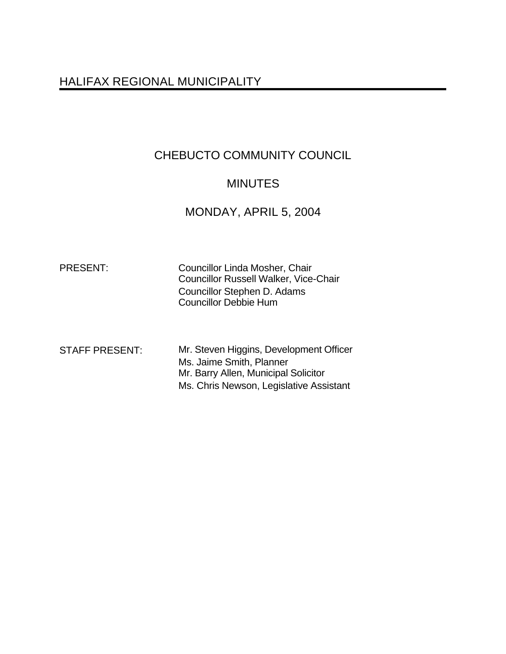# HALIFAX REGIONAL MUNICIPALITY

# CHEBUCTO COMMUNITY COUNCIL

## MINUTES

# MONDAY, APRIL 5, 2004

| <b>PRESENT:</b> | Councillor Linda Mosher, Chair               |
|-----------------|----------------------------------------------|
|                 | <b>Councillor Russell Walker, Vice-Chair</b> |
|                 | Councillor Stephen D. Adams                  |
|                 | <b>Councillor Debbie Hum</b>                 |
|                 |                                              |

| <b>STAFF PRESENT:</b> | Mr. Steven Higgins, Development Officer |
|-----------------------|-----------------------------------------|
|                       | Ms. Jaime Smith, Planner                |
|                       | Mr. Barry Allen, Municipal Solicitor    |
|                       | Ms. Chris Newson, Legislative Assistant |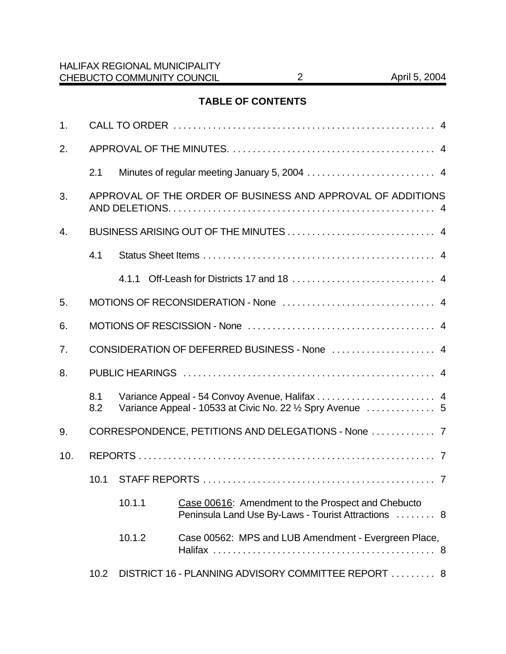## **TABLE OF CONTENTS**

| 1.  |            |                                                             |                                                                                                           |  |
|-----|------------|-------------------------------------------------------------|-----------------------------------------------------------------------------------------------------------|--|
| 2.  |            |                                                             |                                                                                                           |  |
|     | 2.1        |                                                             |                                                                                                           |  |
| 3.  |            | APPROVAL OF THE ORDER OF BUSINESS AND APPROVAL OF ADDITIONS |                                                                                                           |  |
| 4.  |            |                                                             |                                                                                                           |  |
|     | 4.1        |                                                             |                                                                                                           |  |
|     |            | 4.1.1                                                       |                                                                                                           |  |
| 5.  |            |                                                             |                                                                                                           |  |
| 6.  |            |                                                             |                                                                                                           |  |
| 7.  |            |                                                             | CONSIDERATION OF DEFERRED BUSINESS - None  4                                                              |  |
| 8.  |            |                                                             |                                                                                                           |  |
|     | 8.1<br>8.2 |                                                             | Variance Appeal - 54 Convoy Avenue, Halifax  4                                                            |  |
| 9.  |            |                                                             |                                                                                                           |  |
| 10. |            |                                                             |                                                                                                           |  |
|     | 10.1       |                                                             |                                                                                                           |  |
|     |            | 10.1.1                                                      | Case 00616: Amendment to the Prospect and Chebucto<br>Peninsula Land Use By-Laws - Tourist Attractions  8 |  |
|     |            | 10.1.2                                                      | Case 00562: MPS and LUB Amendment - Evergreen Place,                                                      |  |
|     | 10.2       |                                                             | DISTRICT 16 - PLANNING ADVISORY COMMITTEE REPORT  8                                                       |  |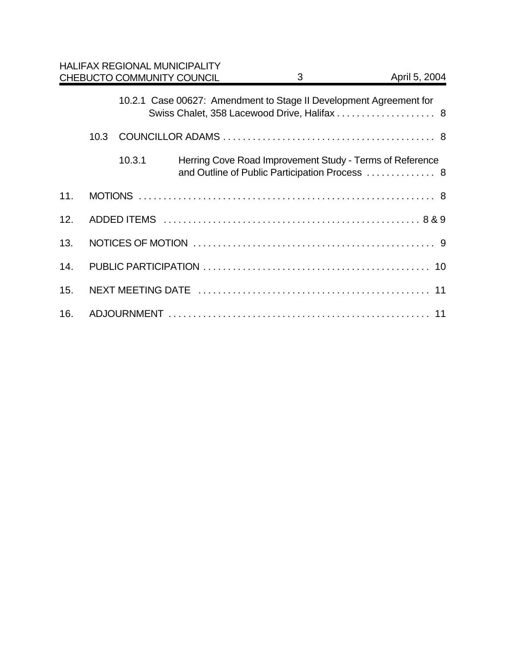|     |      |        | <b>HALIFAX REGIONAL MUNICIPALITY</b><br>CHEBUCTO COMMUNITY COUNCIL | 3 | April 5, 2004                                                                                              |
|-----|------|--------|--------------------------------------------------------------------|---|------------------------------------------------------------------------------------------------------------|
|     |      |        | 10.2.1 Case 00627: Amendment to Stage II Development Agreement for |   | Swiss Chalet, 358 Lacewood Drive, Halifax  8                                                               |
|     | 10.3 |        |                                                                    |   |                                                                                                            |
|     |      | 10.3.1 |                                                                    |   | Herring Cove Road Improvement Study - Terms of Reference<br>and Outline of Public Participation Process  8 |
| 11. |      |        |                                                                    |   |                                                                                                            |
| 12. |      |        |                                                                    |   |                                                                                                            |
| 13. |      |        |                                                                    |   |                                                                                                            |
| 14. |      |        |                                                                    |   |                                                                                                            |
| 15. |      |        |                                                                    |   |                                                                                                            |
| 16. |      |        |                                                                    |   |                                                                                                            |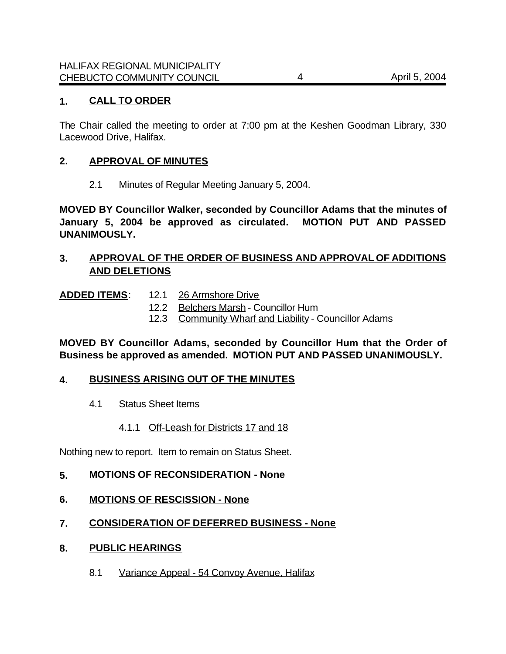## **1. CALL TO ORDER**

The Chair called the meeting to order at 7:00 pm at the Keshen Goodman Library, 330 Lacewood Drive, Halifax.

#### **2. APPROVAL OF MINUTES**

2.1 Minutes of Regular Meeting January 5, 2004.

**MOVED BY Councillor Walker, seconded by Councillor Adams that the minutes of January 5, 2004 be approved as circulated. MOTION PUT AND PASSED UNANIMOUSLY.**

## **3. APPROVAL OF THE ORDER OF BUSINESS AND APPROVAL OF ADDITIONS AND DELETIONS**

#### ADDED ITEMS: 12.1 26 Armshore Drive

- 12.2 Belchers Marsh Councillor Hum
- 12.3 Community Wharf and Liability Councillor Adams

## **MOVED BY Councillor Adams, seconded by Councillor Hum that the Order of Business be approved as amended. MOTION PUT AND PASSED UNANIMOUSLY.**

#### **4. BUSINESS ARISING OUT OF THE MINUTES**

- 4.1 Status Sheet Items
	- 4.1.1 Off-Leash for Districts 17 and 18

Nothing new to report. Item to remain on Status Sheet.

- **5. MOTIONS OF RECONSIDERATION None**
- **6. MOTIONS OF RESCISSION None**
- **7. CONSIDERATION OF DEFERRED BUSINESS None**
- **8. PUBLIC HEARINGS**
	- 8.1 Variance Appeal 54 Convoy Avenue, Halifax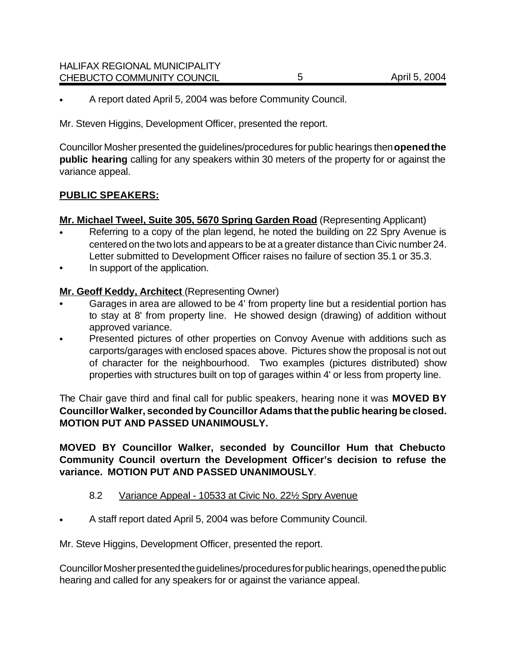• A report dated April 5, 2004 was before Community Council.

Mr. Steven Higgins, Development Officer, presented the report.

Councillor Mosher presented the guidelines/procedures for public hearings then **opened the public hearing** calling for any speakers within 30 meters of the property for or against the variance appeal.

## **PUBLIC SPEAKERS:**

**Mr. Michael Tweel, Suite 305, 5670 Spring Garden Road** (Representing Applicant)

- Referring to a copy of the plan legend, he noted the building on 22 Spry Avenue is centered on the two lots and appears to be at a greater distance than Civic number 24. Letter submitted to Development Officer raises no failure of section 35.1 or 35.3.
- In support of the application.

## **Mr. Geoff Keddy, Architect** (Representing Owner)

- Garages in area are allowed to be 4' from property line but a residential portion has to stay at 8' from property line. He showed design (drawing) of addition without approved variance.
- Presented pictures of other properties on Convoy Avenue with additions such as carports/garages with enclosed spaces above. Pictures show the proposal is not out of character for the neighbourhood. Two examples (pictures distributed) show properties with structures built on top of garages within 4' or less from property line.

The Chair gave third and final call for public speakers, hearing none it was **MOVED BY Councillor Walker, seconded by Councillor Adams that the public hearing be closed. MOTION PUT AND PASSED UNANIMOUSLY.**

**MOVED BY Councillor Walker, seconded by Councillor Hum that Chebucto Community Council overturn the Development Officer's decision to refuse the variance. MOTION PUT AND PASSED UNANIMOUSLY**.

## 8.2 Variance Appeal - 10533 at Civic No. 22½ Spry Avenue

• A staff report dated April 5, 2004 was before Community Council.

Mr. Steve Higgins, Development Officer, presented the report.

Councillor Mosher presented the guidelines/procedures for public hearings, opened the public hearing and called for any speakers for or against the variance appeal.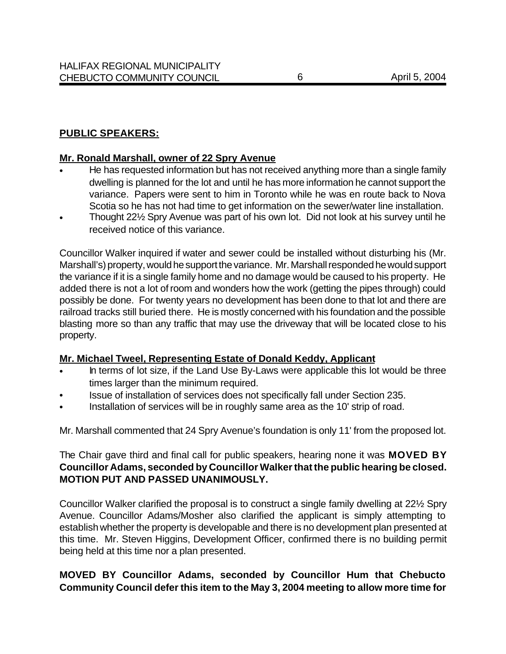## **PUBLIC SPEAKERS:**

#### **Mr. Ronald Marshall, owner of 22 Spry Avenue**

- He has requested information but has not received anything more than a single family dwelling is planned for the lot and until he has more information he cannot support the variance. Papers were sent to him in Toronto while he was en route back to Nova Scotia so he has not had time to get information on the sewer/water line installation.
- Thought 22½ Spry Avenue was part of his own lot. Did not look at his survey until he received notice of this variance.

Councillor Walker inquired if water and sewer could be installed without disturbing his (Mr. Marshall's) property, would he support the variance. Mr. Marshall responded he would support the variance if it is a single family home and no damage would be caused to his property. He added there is not a lot of room and wonders how the work (getting the pipes through) could possibly be done. For twenty years no development has been done to that lot and there are railroad tracks still buried there. He is mostly concerned with his foundation and the possible blasting more so than any traffic that may use the driveway that will be located close to his property.

#### **Mr. Michael Tweel, Representing Estate of Donald Keddy, Applicant**

- In terms of lot size, if the Land Use By-Laws were applicable this lot would be three times larger than the minimum required.
- Issue of installation of services does not specifically fall under Section 235.
- Installation of services will be in roughly same area as the 10' strip of road.

Mr. Marshall commented that 24 Spry Avenue's foundation is only 11' from the proposed lot.

The Chair gave third and final call for public speakers, hearing none it was **MOVED BY Councillor Adams, seconded by Councillor Walker that the public hearing be closed. MOTION PUT AND PASSED UNANIMOUSLY.**

Councillor Walker clarified the proposal is to construct a single family dwelling at 22½ Spry Avenue. Councillor Adams/Mosher also clarified the applicant is simply attempting to establish whether the property is developable and there is no development plan presented at this time. Mr. Steven Higgins, Development Officer, confirmed there is no building permit being held at this time nor a plan presented.

## **MOVED BY Councillor Adams, seconded by Councillor Hum that Chebucto Community Council defer this item to the May 3, 2004 meeting to allow more time for**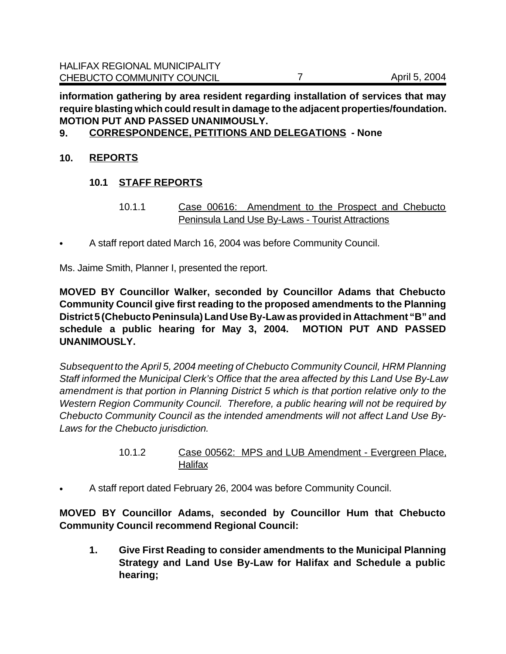**information gathering by area resident regarding installation of services that may require blasting which could result in damage to the adjacent properties/foundation. MOTION PUT AND PASSED UNANIMOUSLY.**

## **9. CORRESPONDENCE, PETITIONS AND DELEGATIONS - None**

## **10. REPORTS**

## **10.1 STAFF REPORTS**

- 10.1.1 Case 00616: Amendment to the Prospect and Chebucto Peninsula Land Use By-Laws - Tourist Attractions
- A staff report dated March 16, 2004 was before Community Council.

Ms. Jaime Smith, Planner I, presented the report.

**MOVED BY Councillor Walker, seconded by Councillor Adams that Chebucto Community Council give first reading to the proposed amendments to the Planning District 5 (Chebucto Peninsula) Land Use By-Law as provided in Attachment "B" and schedule a public hearing for May 3, 2004. MOTION PUT AND PASSED UNANIMOUSLY.**

*Subsequent to the April 5, 2004 meeting of Chebucto Community Council, HRM Planning Staff informed the Municipal Clerk's Office that the area affected by this Land Use By-Law amendment is that portion in Planning District 5 which is that portion relative only to the Western Region Community Council. Therefore, a public hearing will not be required by Chebucto Community Council as the intended amendments will not affect Land Use By-Laws for the Chebucto jurisdiction.* 

- 10.1.2 Case 00562: MPS and LUB Amendment Evergreen Place, **Halifax**
- A staff report dated February 26, 2004 was before Community Council.

**MOVED BY Councillor Adams, seconded by Councillor Hum that Chebucto Community Council recommend Regional Council:**

**1. Give First Reading to consider amendments to the Municipal Planning Strategy and Land Use By-Law for Halifax and Schedule a public hearing;**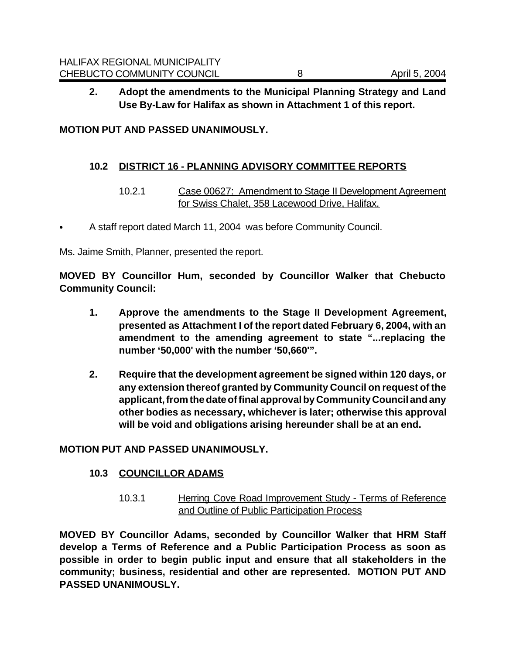## **2. Adopt the amendments to the Municipal Planning Strategy and Land Use By-Law for Halifax as shown in Attachment 1 of this report.**

#### **MOTION PUT AND PASSED UNANIMOUSLY.**

#### **10.2 DISTRICT 16 - PLANNING ADVISORY COMMITTEE REPORTS**

10.2.1 Case 00627: Amendment to Stage II Development Agreement for Swiss Chalet, 358 Lacewood Drive, Halifax.

• A staff report dated March 11, 2004 was before Community Council.

Ms. Jaime Smith, Planner, presented the report.

**MOVED BY Councillor Hum, seconded by Councillor Walker that Chebucto Community Council:**

- **1. Approve the amendments to the Stage II Development Agreement, presented as Attachment I of the report dated February 6, 2004, with an amendment to the amending agreement to state "...replacing the number '50,000' with the number '50,660'".**
- **2. Require that the development agreement be signed within 120 days, or any extension thereof granted by Community Council on request of the applicant, from the date of final approval by Community Council and any other bodies as necessary, whichever is later; otherwise this approval will be void and obligations arising hereunder shall be at an end.**

#### **MOTION PUT AND PASSED UNANIMOUSLY.**

#### **10.3 COUNCILLOR ADAMS**

10.3.1 Herring Cove Road Improvement Study - Terms of Reference and Outline of Public Participation Process

**MOVED BY Councillor Adams, seconded by Councillor Walker that HRM Staff develop a Terms of Reference and a Public Participation Process as soon as possible in order to begin public input and ensure that all stakeholders in the community; business, residential and other are represented. MOTION PUT AND PASSED UNANIMOUSLY.**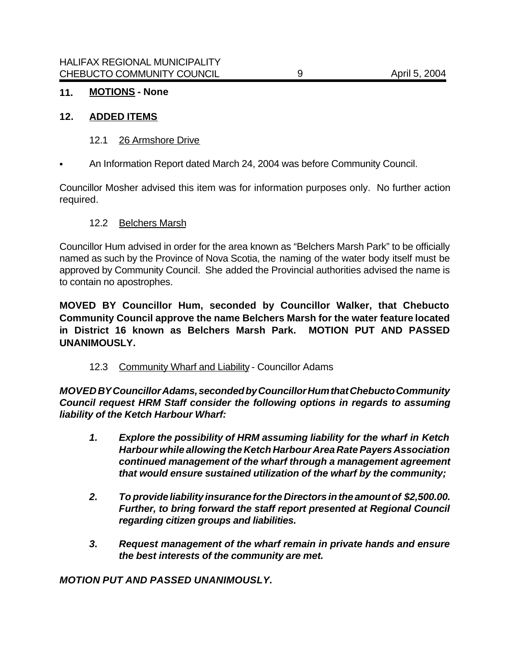## **11. MOTIONS - None**

#### **12. ADDED ITEMS**

- 12.1 26 Armshore Drive
- An Information Report dated March 24, 2004 was before Community Council.

Councillor Mosher advised this item was for information purposes only. No further action required.

#### 12.2 Belchers Marsh

Councillor Hum advised in order for the area known as "Belchers Marsh Park" to be officially named as such by the Province of Nova Scotia, the naming of the water body itself must be approved by Community Council. She added the Provincial authorities advised the name is to contain no apostrophes.

**MOVED BY Councillor Hum, seconded by Councillor Walker, that Chebucto Community Council approve the name Belchers Marsh for the water feature located in District 16 known as Belchers Marsh Park. MOTION PUT AND PASSED UNANIMOUSLY.**

12.3 Community Wharf and Liability - Councillor Adams

*MOVED BY Councillor Adams, seconded by Councillor Hum that Chebucto Community Council request HRM Staff consider the following options in regards to assuming liability of the Ketch Harbour Wharf:*

- *1. Explore the possibility of HRM assuming liability for the wharf in Ketch Harbour while allowing the Ketch Harbour Area Rate Payers Association continued management of the wharf through a management agreement that would ensure sustained utilization of the wharf by the community;*
- *2. To provide liability insurance for the Directors in the amount of \$2,500.00. Further, to bring forward the staff report presented at Regional Council regarding citizen groups and liabilities.*
- *3. Request management of the wharf remain in private hands and ensure the best interests of the community are met.*

*MOTION PUT AND PASSED UNANIMOUSLY.*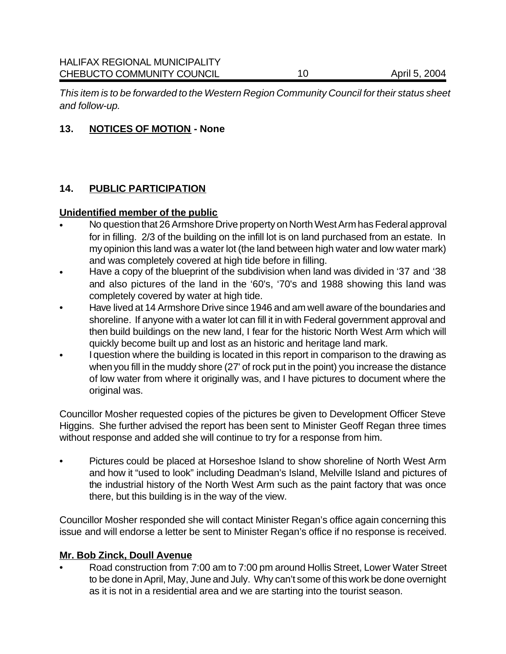*This item is to be forwarded to the Western Region Community Council for their status sheet and follow-up.*

## **13. NOTICES OF MOTION - None**

## **14. PUBLIC PARTICIPATION**

#### **Unidentified member of the public**

- No question that 26 Armshore Drive property on North West Arm has Federal approval for in filling. 2/3 of the building on the infill lot is on land purchased from an estate. In my opinion this land was a water lot (the land between high water and low water mark) and was completely covered at high tide before in filling.
- Have a copy of the blueprint of the subdivision when land was divided in '37 and '38 and also pictures of the land in the '60's, '70's and 1988 showing this land was completely covered by water at high tide.
- Have lived at 14 Armshore Drive since 1946 and am well aware of the boundaries and shoreline. If anyone with a water lot can fill it in with Federal government approval and then build buildings on the new land, I fear for the historic North West Arm which will quickly become built up and lost as an historic and heritage land mark.
- I question where the building is located in this report in comparison to the drawing as when you fill in the muddy shore (27' of rock put in the point) you increase the distance of low water from where it originally was, and I have pictures to document where the original was.

Councillor Mosher requested copies of the pictures be given to Development Officer Steve Higgins. She further advised the report has been sent to Minister Geoff Regan three times without response and added she will continue to try for a response from him.

• Pictures could be placed at Horseshoe Island to show shoreline of North West Arm and how it "used to look" including Deadman's Island, Melville Island and pictures of the industrial history of the North West Arm such as the paint factory that was once there, but this building is in the way of the view.

Councillor Mosher responded she will contact Minister Regan's office again concerning this issue and will endorse a letter be sent to Minister Regan's office if no response is received.

#### **Mr. Bob Zinck, Doull Avenue**

• Road construction from 7:00 am to 7:00 pm around Hollis Street, Lower Water Street to be done in April, May, June and July. Why can't some of this work be done overnight as it is not in a residential area and we are starting into the tourist season.